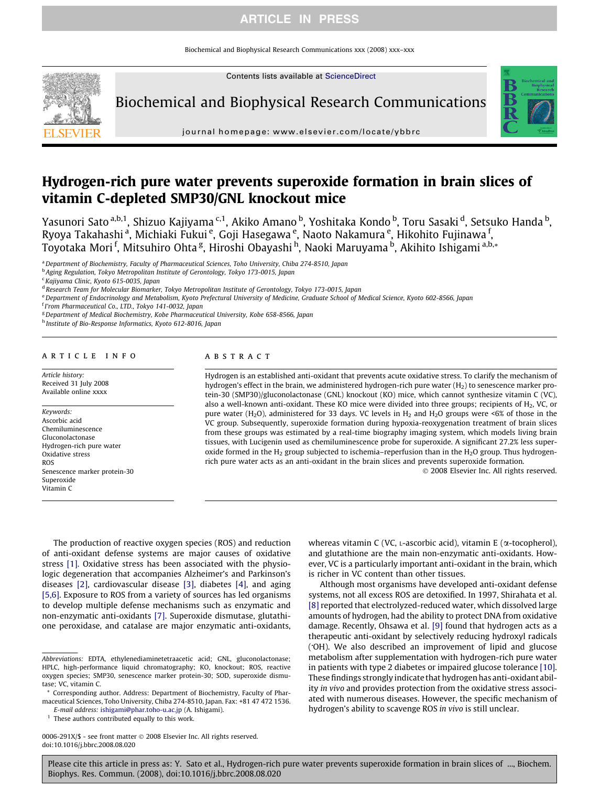# ARTICLE IN PRESS

Biochemical and Biophysical Research Communications xxx (2008) xxx–xxx

Contents lists available at [ScienceDirect](http://www.sciencedirect.com/science/journal/0006291X)

Biochemical and Biophysical Research Communications



journal homepage: [www.elsevier.com/locate/ybbrc](http://www.elsevier.com/locate/ybbrc)

# Hydrogen-rich pure water prevents superoxide formation in brain slices of vitamin C-depleted SMP30/GNL knockout mice

Yasunori Sato <sup>a,b,1</sup>, Shizuo Kajiyama <sup>c,1</sup>, Akiko Amano <sup>b</sup>, Yoshitaka Kondo <sup>b</sup>, Toru Sasaki <sup>d</sup>, Setsuko Handa <sup>b</sup>, Ryoya Takahashi <sup>a</sup>, Michiaki Fukui <sup>e</sup>, Goji Hasegawa <sup>e</sup>, Naoto Nakamura <sup>e</sup>, Hikohito Fujinawa <sup>f</sup>, Toyotaka Mori<sup>f</sup>, Mitsuhiro Ohta<sup>g</sup>, Hiroshi Obayashi<sup>h</sup>, Naoki Maruyama<sup>b</sup>, Akihito Ishigami <sup>a,b,</sup>\*

aDepartment of Biochemistry, Faculty of Pharmaceutical Sciences, Toho University, Chiba 274-8510, Japan

<sup>b</sup> Aging Regulation, Tokyo Metropolitan Institute of Gerontology, Tokyo 173-0015, Japan

<sup>c</sup> Kajiyama Clinic, Kyoto 615-0035, Japan

<sup>d</sup> Research Team for Molecular Biomarker, Tokyo Metropolitan Institute of Gerontology, Tokyo 173-0015, Japan

e Department of Endocrinology and Metabolism, Kyoto Prefectural University of Medicine, Graduate School of Medical Science, Kyoto 602-8566, Japan

<sup>f</sup> I'rom Pharmaceutical Co., LTD., Tokyo 141-0032, Japan

<sup>g</sup> Department of Medical Biochemistry, Kobe Pharmaceutical University, Kobe 658-8566, Japan

h Institute of Bio-Response Informatics, Kyoto 612-8016, Japan

#### article info

Article history: Received 31 July 2008 Available online xxxx

Keywords: Ascorbic acid Chemiluminescence Gluconolactonase Hydrogen-rich pure water Oxidative stress ROS Senescence marker protein-30 Superoxide Vitamin C

### ABSTRACT

Hydrogen is an established anti-oxidant that prevents acute oxidative stress. To clarify the mechanism of hydrogen's effect in the brain, we administered hydrogen-rich pure water (H<sub>2</sub>) to senescence marker protein-30 (SMP30)/gluconolactonase (GNL) knockout (KO) mice, which cannot synthesize vitamin C (VC), also a well-known anti-oxidant. These KO mice were divided into three groups; recipients of  $H_2$ , VC, or pure water (H<sub>2</sub>O), administered for 33 days. VC levels in H<sub>2</sub> and H<sub>2</sub>O groups were <6% of those in the VC group. Subsequently, superoxide formation during hypoxia-reoxygenation treatment of brain slices from these groups was estimated by a real-time biography imaging system, which models living brain tissues, with Lucigenin used as chemiluminescence probe for superoxide. A significant 27.2% less superoxide formed in the  $H_2$  group subjected to ischemia–reperfusion than in the  $H_2O$  group. Thus hydrogenrich pure water acts as an anti-oxidant in the brain slices and prevents superoxide formation.

- 2008 Elsevier Inc. All rights reserved.

The production of reactive oxygen species (ROS) and reduction of anti-oxidant defense systems are major causes of oxidative stress [\[1\]](#page-3-0). Oxidative stress has been associated with the physiologic degeneration that accompanies Alzheimer's and Parkinson's diseases [\[2\],](#page-3-0) cardiovascular disease [\[3\],](#page-3-0) diabetes [\[4\],](#page-3-0) and aging [\[5,6\].](#page-4-0) Exposure to ROS from a variety of sources has led organisms to develop multiple defense mechanisms such as enzymatic and non-enzymatic anti-oxidants [\[7\].](#page-4-0) Superoxide dismutase, glutathione peroxidase, and catalase are major enzymatic anti-oxidants,

E-mail address: [ishigami@phar.toho-u.ac.jp](mailto:ishigami@phar.toho-u.ac.jp) (A. Ishigami).

<sup>1</sup> These authors contributed equally to this work.

0006-291X/\$ - see front matter © 2008 Elsevier Inc. All rights reserved. doi:10.1016/j.bbrc.2008.08.020

whereas vitamin C (VC,  $L$ -ascorbic acid), vitamin E ( $\alpha$ -tocopherol), and glutathione are the main non-enzymatic anti-oxidants. However, VC is a particularly important anti-oxidant in the brain, which is richer in VC content than other tissues.

Although most organisms have developed anti-oxidant defense systems, not all excess ROS are detoxified. In 1997, Shirahata et al. [\[8\]](#page-4-0) reported that electrolyzed-reduced water, which dissolved large amounts of hydrogen, had the ability to protect DNA from oxidative damage. Recently, Ohsawa et al. [\[9\]](#page-4-0) found that hydrogen acts as a therapeutic anti-oxidant by selectively reducing hydroxyl radicals ( - OH). We also described an improvement of lipid and glucose metabolism after supplementation with hydrogen-rich pure water in patients with type 2 diabetes or impaired glucose tolerance [\[10\].](#page-4-0) These findings strongly indicate that hydrogen has anti-oxidant ability in vivo and provides protection from the oxidative stress associated with numerous diseases. However, the specific mechanism of hydrogen's ability to scavenge ROS in vivo is still unclear.

Abbreviations: EDTA, ethylenediaminetetraacetic acid; GNL, gluconolactonase; HPLC, high-performance liquid chromatography; KO, knockout; ROS, reactive oxygen species; SMP30, senescence marker protein-30; SOD, superoxide dismutase; VC, vitamin C.

<sup>\*</sup> Corresponding author. Address: Department of Biochemistry, Faculty of Pharmaceutical Sciences, Toho University, Chiba 274-8510, Japan. Fax: +81 47 472 1536.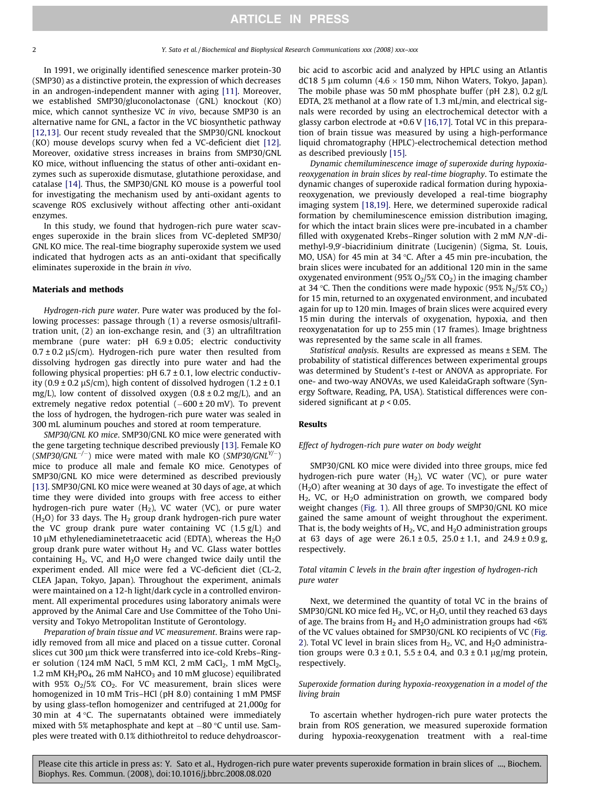In 1991, we originally identified senescence marker protein-30 (SMP30) as a distinctive protein, the expression of which decreases in an androgen-independent manner with aging [\[11\].](#page-4-0) Moreover, we established SMP30/gluconolactonase (GNL) knockout (KO) mice, which cannot synthesize VC in vivo, because SMP30 is an alternative name for GNL, a factor in the VC biosynthetic pathway [\[12,13\].](#page-4-0) Our recent study revealed that the SMP30/GNL knockout (KO) mouse develops scurvy when fed a VC-deficient diet [\[12\].](#page-4-0) Moreover, oxidative stress increases in brains from SMP30/GNL KO mice, without influencing the status of other anti-oxidant enzymes such as superoxide dismutase, glutathione peroxidase, and catalase [\[14\]](#page-4-0). Thus, the SMP30/GNL KO mouse is a powerful tool for investigating the mechanism used by anti-oxidant agents to scavenge ROS exclusively without affecting other anti-oxidant enzymes.

In this study, we found that hydrogen-rich pure water scavenges superoxide in the brain slices from VC-depleted SMP30/ GNL KO mice. The real-time biography superoxide system we used indicated that hydrogen acts as an anti-oxidant that specifically eliminates superoxide in the brain in vivo.

#### Materials and methods

Hydrogen-rich pure water. Pure water was produced by the following processes: passage through (1) a reverse osmosis/ultrafiltration unit, (2) an ion-exchange resin, and (3) an ultrafiltration membrane (pure water: pH 6.9 ± 0.05; electric conductivity  $0.7 \pm 0.2 \,\mu\text{S/cm}$ ). Hydrogen-rich pure water then resulted from dissolving hydrogen gas directly into pure water and had the following physical properties:  $pH$  6.7  $\pm$  0.1, low electric conductivity (0.9  $\pm$  0.2  $\mu$ S/cm), high content of dissolved hydrogen (1.2  $\pm$  0.1 mg/L), low content of dissolved oxygen  $(0.8 \pm 0.2 \text{ mg/L})$ , and an extremely negative redox potential (–600 ± 20 mV). To prevent the loss of hydrogen, the hydrogen-rich pure water was sealed in 300 mL aluminum pouches and stored at room temperature.

SMP30/GNL KO mice. SMP30/GNL KO mice were generated with the gene targeting technique described previously [\[13\]](#page-4-0). Female KO (SMP30/GNL<sup>-/-</sup>) mice were mated with male KO (SMP30/GNL<sup>Y/-</sup>) mice to produce all male and female KO mice. Genotypes of SMP30/GNL KO mice were determined as described previously [\[13\]](#page-4-0). SMP30/GNL KO mice were weaned at 30 days of age, at which time they were divided into groups with free access to either hydrogen-rich pure water  $(H_2)$ , VC water (VC), or pure water  $(H<sub>2</sub>O)$  for 33 days. The  $H<sub>2</sub>$  group drank hydrogen-rich pure water the VC group drank pure water containing VC  $(1.5 \text{ g/L})$  and 10  $\mu$ M ethylenediaminetetraacetic acid (EDTA), whereas the H<sub>2</sub>O group drank pure water without  $H_2$  and VC. Glass water bottles containing  $H_2$ , VC, and  $H_2O$  were changed twice daily until the experiment ended. All mice were fed a VC-deficient diet (CL-2, CLEA Japan, Tokyo, Japan). Throughout the experiment, animals were maintained on a 12-h light/dark cycle in a controlled environment. All experimental procedures using laboratory animals were approved by the Animal Care and Use Committee of the Toho University and Tokyo Metropolitan Institute of Gerontology.

Preparation of brain tissue and VC measurement. Brains were rapidly removed from all mice and placed on a tissue cutter. Coronal slices cut 300 µm thick were transferred into ice-cold Krebs-Ringer solution (124 mM NaCl, 5 mM KCl, 2 mM CaCl<sub>2</sub>, 1 mM MgCl<sub>2</sub>, 1.2 mM KH<sub>2</sub>PO<sub>4</sub>, 26 mM NaHCO<sub>3</sub> and 10 mM glucose) equilibrated with 95%  $O<sub>2</sub>/5% CO<sub>2</sub>$ . For VC measurement, brain slices were homogenized in 10 mM Tris–HCl (pH 8.0) containing 1 mM PMSF by using glass-teflon homogenizer and centrifuged at 21,000g for 30 min at  $4^{\circ}$ C. The supernatants obtained were immediately mixed with 5% metaphosphate and kept at  $-80$  °C until use. Samples were treated with 0.1% dithiothreitol to reduce dehydroascorbic acid to ascorbic acid and analyzed by HPLC using an Atlantis dC18 5 um column (4.6  $\times$  150 mm, Nihon Waters, Tokyo, Japan). The mobile phase was 50 mM phosphate buffer (pH 2.8), 0.2 g/L EDTA, 2% methanol at a flow rate of 1.3 mL/min, and electrical signals were recorded by using an electrochemical detector with a glassy carbon electrode at +0.6 V [\[16,17\]](#page-4-0). Total VC in this preparation of brain tissue was measured by using a high-performance liquid chromatography (HPLC)-electrochemical detection method as described previously [\[15\].](#page-4-0)

Dynamic chemiluminescence image of superoxide during hypoxiareoxygenation in brain slices by real-time biography. To estimate the dynamic changes of superoxide radical formation during hypoxiareoxygenation, we previously developed a real-time biography imaging system [\[18,19\]](#page-4-0). Here, we determined superoxide radical formation by chemiluminescence emission distribution imaging, for which the intact brain slices were pre-incubated in a chamber filled with oxygenated Krebs-Ringer solution with  $2$  mM  $N$ , $N'$ -dimethyl-9,9'-biacridinium dinitrate (Lucigenin) (Sigma, St. Louis, MO, USA) for 45 min at 34  $\degree$ C. After a 45 min pre-incubation, the brain slices were incubated for an additional 120 min in the same oxygenated environment (95%  $O<sub>2</sub>/5$ %  $CO<sub>2</sub>$ ) in the imaging chamber at 34 °C. Then the conditions were made hypoxic (95%  $N_2/5\%$  CO<sub>2</sub>) for 15 min, returned to an oxygenated environment, and incubated again for up to 120 min. Images of brain slices were acquired every 15 min during the intervals of oxygenation, hypoxia, and then reoxygenatation for up to 255 min (17 frames). Image brightness was represented by the same scale in all frames.

Statistical analysis. Results are expressed as means ± SEM. The probability of statistical differences between experimental groups was determined by Student's t-test or ANOVA as appropriate. For one- and two-way ANOVAs, we used KaleidaGraph software (Synergy Software, Reading, PA, USA). Statistical differences were considered significant at  $p < 0.05$ .

#### Results

#### Effect of hydrogen-rich pure water on body weight

SMP30/GNL KO mice were divided into three groups, mice fed hydrogen-rich pure water  $(H_2)$ , VC water (VC), or pure water  $(H<sub>2</sub>O)$  after weaning at 30 days of age. To investigate the effect of  $H_2$ , VC, or  $H_2O$  administration on growth, we compared body weight changes ([Fig. 1](#page-2-0)). All three groups of SMP30/GNL KO mice gained the same amount of weight throughout the experiment. That is, the body weights of  $H_2$ , VC, and  $H_2O$  administration groups at 63 days of age were  $26.1 \pm 0.5$ ,  $25.0 \pm 1.1$ , and  $24.9 \pm 0.9$  g, respectively.

Total vitamin C levels in the brain after ingestion of hydrogen-rich pure water

Next, we determined the quantity of total VC in the brains of SMP30/GNL KO mice fed  $H_2$ , VC, or  $H_2O$ , until they reached 63 days of age. The brains from  $H_2$  and  $H_2O$  administration groups had <6% of the VC values obtained for SMP30/GNL KO recipients of VC ([Fig.](#page-2-0) [2](#page-2-0)). Total VC level in brain slices from  $H_2$ , VC, and  $H_2O$  administration groups were  $0.3 \pm 0.1$ ,  $5.5 \pm 0.4$ , and  $0.3 \pm 0.1$  µg/mg protein, respectively.

Superoxide formation during hypoxia-reoxygenation in a model of the living brain

To ascertain whether hydrogen-rich pure water protects the brain from ROS generation, we measured superoxide formation during hypoxia-reoxygenation treatment with a real-time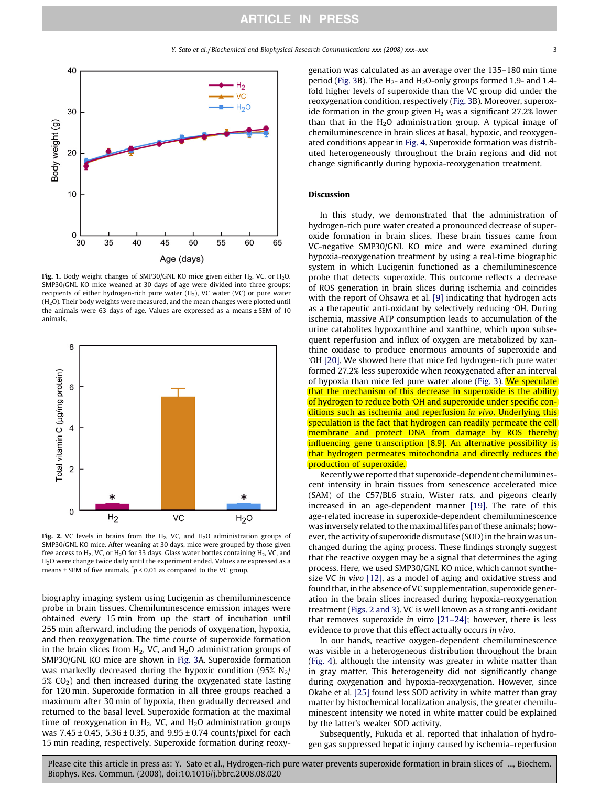<span id="page-2-0"></span>

Fig. 1. Body weight changes of SMP30/GNL KO mice given either  $H_2$ , VC, or  $H_2O$ . SMP30/GNL KO mice weaned at 30 days of age were divided into three groups: recipients of either hydrogen-rich pure water (H<sub>2</sub>), VC water (VC) or pure water  $(H<sub>2</sub>O)$ . Their body weights were measured, and the mean changes were plotted until the animals were 63 days of age. Values are expressed as a means ± SEM of 10 animals.



Fig. 2. VC levels in brains from the  $H_2$ , VC, and  $H_2O$  administration groups of SMP30/GNL KO mice. After weaning at 30 days, mice were grouped by those given free access to  $H_2$ , VC, or  $H_2O$  for 33 days. Glass water bottles containing  $H_2$ , VC, and H2O were change twice daily until the experiment ended. Values are expressed as a means  $\pm$  SEM of five animals.  $\dot{p}$  < 0.01 as compared to the VC group.

biography imaging system using Lucigenin as chemiluminescence probe in brain tissues. Chemiluminescence emission images were obtained every 15 min from up the start of incubation until 255 min afterward, including the periods of oxygenation, hypoxia, and then reoxygenation. The time course of superoxide formation in the brain slices from  $H_2$ , VC, and  $H_2O$  administration groups of SMP30/GNL KO mice are shown in [Fig. 3](#page-3-0)A. Superoxide formation was markedly decreased during the hypoxic condition (95%  $N_2$ )  $5\%$  CO<sub>2</sub>) and then increased during the oxygenated state lasting for 120 min. Superoxide formation in all three groups reached a maximum after 30 min of hypoxia, then gradually decreased and returned to the basal level. Superoxide formation at the maximal time of reoxygenation in  $H_2$ , VC, and  $H_2O$  administration groups was 7.45 ± 0.45, 5.36 ± 0.35, and 9.95 ± 0.74 counts/pixel for each 15 min reading, respectively. Superoxide formation during reoxygenation was calculated as an average over the 135–180 min time period [\(Fig. 3B](#page-3-0)). The  $H_2$ - and  $H_2O$ -only groups formed 1.9- and 1.4fold higher levels of superoxide than the VC group did under the reoxygenation condition, respectively ([Fig. 3](#page-3-0)B). Moreover, superoxide formation in the group given  $H_2$  was a significant 27.2% lower than that in the  $H_2O$  administration group. A typical image of chemiluminescence in brain slices at basal, hypoxic, and reoxygenated conditions appear in [Fig. 4](#page-3-0). Superoxide formation was distributed heterogeneously throughout the brain regions and did not change significantly during hypoxia-reoxygenation treatment.

## Discussion

In this study, we demonstrated that the administration of hydrogen-rich pure water created a pronounced decrease of superoxide formation in brain slices. These brain tissues came from VC-negative SMP30/GNL KO mice and were examined during hypoxia-reoxygenation treatment by using a real-time biographic system in which Lucigenin functioned as a chemiluminescence probe that detects superoxide. This outcome reflects a decrease of ROS generation in brain slices during ischemia and coincides with the report of Ohsawa et al. [\[9\]](#page-4-0) indicating that hydrogen acts as a therapeutic anti-oxidant by selectively reducing OH. During ischemia, massive ATP consumption leads to accumulation of the urine catabolites hypoxanthine and xanthine, which upon subsequent reperfusion and influx of oxygen are metabolized by xanthine oxidase to produce enormous amounts of superoxide and - OH [\[20\].](#page-4-0) We showed here that mice fed hydrogen-rich pure water formed 27.2% less superoxide when reoxygenated after an interval of hypoxia than mice fed pure water alone ([Fig. 3](#page-3-0)). We speculate that the mechanism of this decrease in superoxide is the ability of hydrogen to reduce both 'OH and superoxide under specific conditions such as ischemia and reperfusion in vivo. Underlying this speculation is the fact that hydrogen can readily permeate the cell membrane and protect DNA from damage by ROS thereby influencing gene transcription [\[8,9\]](#page-4-0). An alternative possibility is that hydrogen permeates mitochondria and directly reduces the production of superoxide.

Recentlywe reported that superoxide-dependent chemiluminescent intensity in brain tissues from senescence accelerated mice (SAM) of the C57/BL6 strain, Wister rats, and pigeons clearly increased in an age-dependent manner [\[19\]](#page-4-0). The rate of this age-related increase in superoxide-dependent chemiluminescence was inversely related to the maximal lifespan of these animals; however, the activity of superoxide dismutase (SOD) in the brain was unchanged during the aging process. These findings strongly suggest that the reactive oxygen may be a signal that determines the aging process. Here, we used SMP30/GNL KO mice, which cannot synthesize VC in vivo [\[12\],](#page-4-0) as a model of aging and oxidative stress and found that, in the absence of VC supplementation, superoxide generation in the brain slices increased during hypoxia-reoxygenation treatment (Figs. 2 and 3). VC is well known as a strong anti-oxidant that removes superoxide in vitro [\[21–24\]](#page-4-0); however, there is less evidence to prove that this effect actually occurs in vivo.

In our hands, reactive oxygen-dependent chemiluminescence was visible in a heterogeneous distribution throughout the brain ([Fig. 4\)](#page-3-0), although the intensity was greater in white matter than in gray matter. This heterogeneity did not significantly change during oxygenation and hypoxia-reoxygenation. However, since Okabe et al. [\[25\]](#page-4-0) found less SOD activity in white matter than gray matter by histochemical localization analysis, the greater chemiluminescent intensity we noted in white matter could be explained by the latter's weaker SOD activity.

Subsequently, Fukuda et al. reported that inhalation of hydrogen gas suppressed hepatic injury caused by ischemia–reperfusion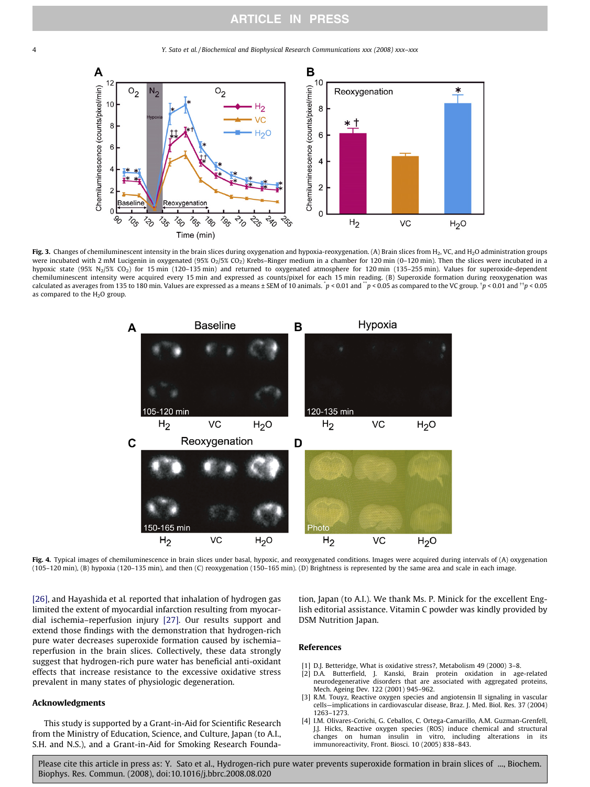<span id="page-3-0"></span>4 Y. Sato et al. / Biochemical and Biophysical Research Communications xxx (2008) xxx–xxx



Fig. 3. Changes of chemiluminescent intensity in the brain slices during oxygenation and hypoxia-reoxygenation. (A) Brain slices from  $H_2$ , VC, and  $H_2$ O administration groups were incubated with 2 mM Lucigenin in oxygenated (95% O<sub>2</sub>/5% CO<sub>2</sub>) Krebs–Ringer medium in a chamber for 120 min (0-120 min). Then the slices were incubated in a hypoxic state (95%  $N_2/5$ % CO<sub>2</sub>) for 15 min (120-135 min) and returned to oxygenated atmosphere for 120 min (135-255 min). Values for superoxide-dependent chemiluminescent intensity were acquired every 15 min and expressed as counts/pixel for each 15 min reading. (B) Superoxide formation during reoxygenation was calculated as averages from 135 to 180 min. Values are expressed as a means ± SEM of 10 animals.  $p < 0.01$  and  $\ddot{\phantom{a}}p < 0.05$  as compared to the VC group.  $\ddot{\phantom{a}}p < 0.01$  and  $\ddot{\phantom{a}}r > 0.05$ as compared to the  $H<sub>2</sub>O$  group.



Fig. 4. Typical images of chemiluminescence in brain slices under basal, hypoxic, and reoxygenated conditions. Images were acquired during intervals of (A) oxygenation (105–120 min), (B) hypoxia (120–135 min), and then (C) reoxygenation (150–165 min). (D) Brightness is represented by the same area and scale in each image.

[\[26\]](#page-4-0), and Hayashida et al. reported that inhalation of hydrogen gas limited the extent of myocardial infarction resulting from myocardial ischemia–reperfusion injury [\[27\]](#page-4-0). Our results support and extend those findings with the demonstration that hydrogen-rich pure water decreases superoxide formation caused by ischemia– reperfusion in the brain slices. Collectively, these data strongly suggest that hydrogen-rich pure water has beneficial anti-oxidant effects that increase resistance to the excessive oxidative stress prevalent in many states of physiologic degeneration.

# Acknowledgments

This study is supported by a Grant-in-Aid for Scientific Research from the Ministry of Education, Science, and Culture, Japan (to A.I., S.H. and N.S.), and a Grant-in-Aid for Smoking Research Foundation, Japan (to A.I.). We thank Ms. P. Minick for the excellent English editorial assistance. Vitamin C powder was kindly provided by DSM Nutrition Japan.

#### References

- [1] D.J. Betteridge, What is oxidative stress?, Metabolism 49 (2000) 3–8.
- [2] D.A. Butterfield, J. Kanski, Brain protein oxidation in age-related neurodegenerative disorders that are associated with aggregated proteins, Mech. Ageing Dev. 122 (2001) 945–962.
- [3] R.M. Touyz, Reactive oxygen species and angiotensin II signaling in vascular cells—implications in cardiovascular disease, Braz. J. Med. Biol. Res. 37 (2004) 1263–1273.
- [4] I.M. Olivares-Corichi, G. Ceballos, C. Ortega-Camarillo, A.M. Guzman-Grenfell, J.J. Hicks, Reactive oxygen species (ROS) induce chemical and structural changes on human insulin in vitro, including alterations in its immunoreactivity, Front. Biosci. 10 (2005) 838–843.